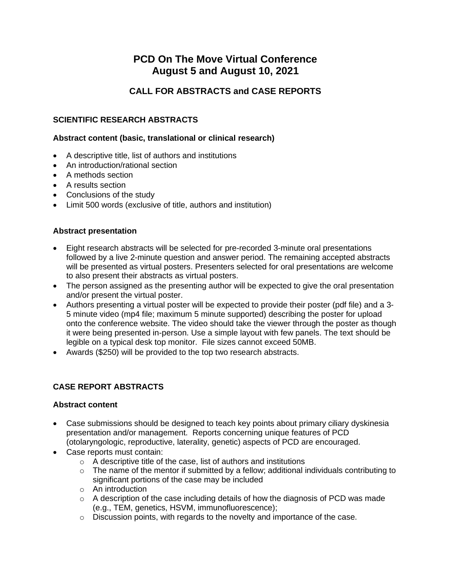# **PCD On The Move Virtual Conference August 5 and August 10, 2021**

## **CALL FOR ABSTRACTS and CASE REPORTS**

## **SCIENTIFIC RESEARCH ABSTRACTS**

#### **Abstract content (basic, translational or clinical research)**

- A descriptive title, list of authors and institutions
- An introduction/rational section
- A methods section
- A results section
- Conclusions of the study
- Limit 500 words (exclusive of title, authors and institution)

## **Abstract presentation**

- Eight research abstracts will be selected for pre-recorded 3-minute oral presentations followed by a live 2-minute question and answer period. The remaining accepted abstracts will be presented as virtual posters. Presenters selected for oral presentations are welcome to also present their abstracts as virtual posters.
- The person assigned as the presenting author will be expected to give the oral presentation and/or present the virtual poster.
- Authors presenting a virtual poster will be expected to provide their poster (pdf file) and a 3- 5 minute video (mp4 file; maximum 5 minute supported) describing the poster for upload onto the conference website. The video should take the viewer through the poster as though it were being presented in-person. Use a simple layout with few panels. The text should be legible on a typical desk top monitor. File sizes cannot exceed 50MB.
- Awards (\$250) will be provided to the top two research abstracts.

## **CASE REPORT ABSTRACTS**

#### **Abstract content**

- Case submissions should be designed to teach key points about primary ciliary dyskinesia presentation and/or management. Reports concerning unique features of PCD (otolaryngologic, reproductive, laterality, genetic) aspects of PCD are encouraged.
- Case reports must contain:
	- o A descriptive title of the case, list of authors and institutions
	- $\circ$  The name of the mentor if submitted by a fellow; additional individuals contributing to significant portions of the case may be included
	- o An introduction
	- $\circ$  A description of the case including details of how the diagnosis of PCD was made (e.g., TEM, genetics, HSVM, immunofluorescence);
	- o Discussion points, with regards to the novelty and importance of the case.